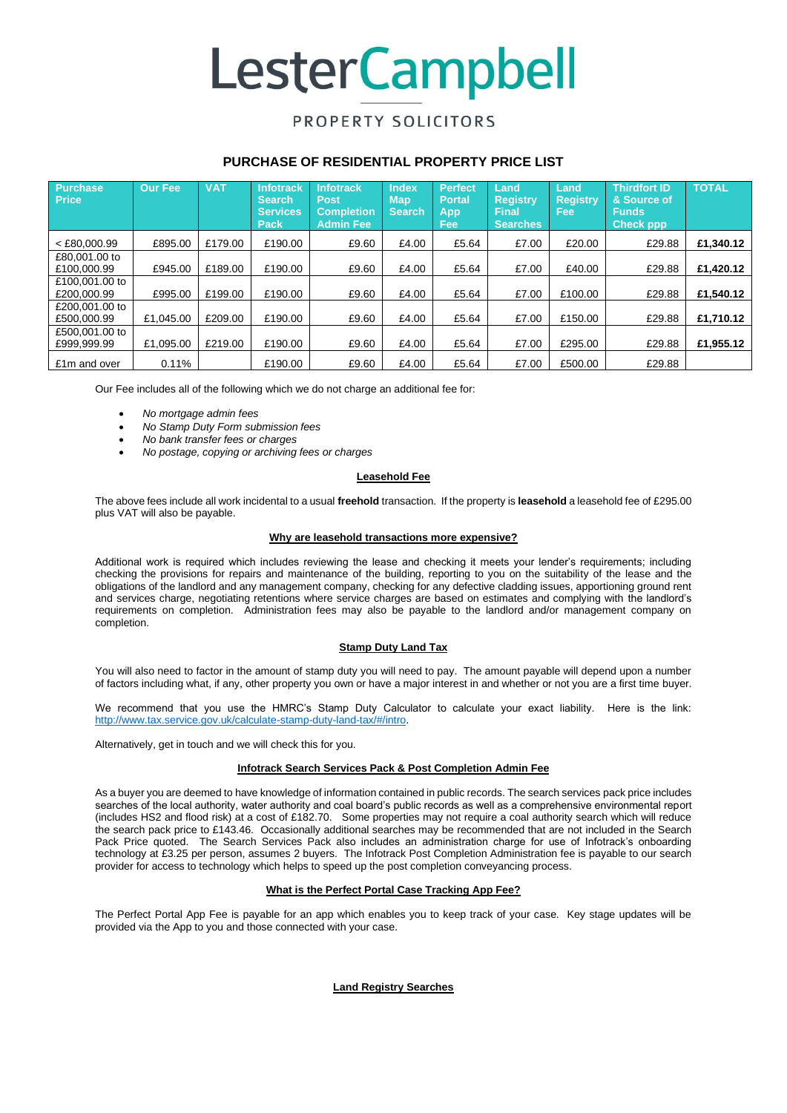# **LesterCampbell**

### PROPERTY SOLICITORS

### **PURCHASE OF RESIDENTIAL PROPERTY PRICE LIST**

| <b>Purchase</b><br><b>Price</b> | <b>Our Fee</b> | <b>VAT</b> | <b>Infotrack</b><br><b>Search</b><br><b>Services</b><br><b>Pack</b> | <b>Infotrack</b><br><b>Post</b><br><b>Completion</b><br><b>Admin Fee</b> | <b>Index</b><br><b>Map</b><br><b>Search</b> | <b>Perfect</b><br><b>Portal</b><br>App<br><b>Fee</b> | Land<br><b>Registry</b><br><b>Final</b><br><b>Searches</b> | Land<br><b>Registry</b><br><b>Fee</b> | <b>Thirdfort ID</b><br>& Source of<br><b>Funds</b><br><b>Check ppp</b> | <b>TOTAL</b> |
|---------------------------------|----------------|------------|---------------------------------------------------------------------|--------------------------------------------------------------------------|---------------------------------------------|------------------------------------------------------|------------------------------------------------------------|---------------------------------------|------------------------------------------------------------------------|--------------|
| $<$ £80,000.99                  | £895.00        | £179.00    | £190.00                                                             | £9.60                                                                    | £4.00                                       | £5.64                                                | £7.00                                                      | £20.00                                | £29.88                                                                 | £1.340.12    |
| £80,001.00 to<br>£100,000.99    | £945.00        | £189.00    | £190.00                                                             | £9.60                                                                    | £4.00                                       | £5.64                                                | £7.00                                                      | £40.00                                | £29.88                                                                 | £1,420.12    |
| £100,001,00 to<br>£200,000.99   | £995.00        | £199.00    | £190.00                                                             | £9.60                                                                    | £4.00                                       | £5.64                                                | £7.00                                                      | £100.00                               | £29.88                                                                 | £1.540.12    |
| £200,001.00 to<br>£500,000.99   | £1.045.00      | £209.00    | £190.00                                                             | £9.60                                                                    | £4.00                                       | £5.64                                                | £7.00                                                      | £150.00                               | £29.88                                                                 | £1,710.12    |
| £500,001,00 to<br>£999.999.99   | £1.095.00      | £219.00    | £190.00                                                             | £9.60                                                                    | £4.00                                       | £5.64                                                | £7.00                                                      | £295.00                               | £29.88                                                                 | £1.955.12    |
| £1m and over                    | 0.11%          |            | £190.00                                                             | £9.60                                                                    | £4.00                                       | £5.64                                                | £7.00                                                      | £500.00                               | £29.88                                                                 |              |

Our Fee includes all of the following which we do not charge an additional fee for:

- *No mortgage admin fees*
- *No Stamp Duty Form submission fees*
- *No bank transfer fees or charges*
- *No postage, copying or archiving fees or charges*

#### **Leasehold Fee**

The above fees include all work incidental to a usual **freehold** transaction. If the property is **leasehold** a leasehold fee of £295.00 plus VAT will also be payable.

#### **Why are leasehold transactions more expensive?**

Additional work is required which includes reviewing the lease and checking it meets your lender's requirements; including checking the provisions for repairs and maintenance of the building, reporting to you on the suitability of the lease and the obligations of the landlord and any management company, checking for any defective cladding issues, apportioning ground rent and services charge, negotiating retentions where service charges are based on estimates and complying with the landlord's requirements on completion. Administration fees may also be payable to the landlord and/or management company on completion.

#### **Stamp Duty Land Tax**

You will also need to factor in the amount of stamp duty you will need to pay. The amount payable will depend upon a number of factors including what, if any, other property you own or have a major interest in and whether or not you are a first time buyer.

We recommend that you use the HMRC's Stamp Duty Calculator to calculate your exact liability. Here is the link: [http://www.tax.service.gov.uk/calculate-stamp-duty-land-tax/#/intro.](http://www.tax.service.gov.uk/calculate-stamp-duty-land-tax/#/intro)

Alternatively, get in touch and we will check this for you.

#### **Infotrack Search Services Pack & Post Completion Admin Fee**

As a buyer you are deemed to have knowledge of information contained in public records. The search services pack price includes searches of the local authority, water authority and coal board's public records as well as a comprehensive environmental report (includes HS2 and flood risk) at a cost of £182.70. Some properties may not require a coal authority search which will reduce the search pack price to £143.46. Occasionally additional searches may be recommended that are not included in the Search Pack Price quoted. The Search Services Pack also includes an administration charge for use of Infotrack's onboarding technology at £3.25 per person, assumes 2 buyers. The Infotrack Post Completion Administration fee is payable to our search provider for access to technology which helps to speed up the post completion conveyancing process.

#### **What is the Perfect Portal Case Tracking App Fee?**

The Perfect Portal App Fee is payable for an app which enables you to keep track of your case. Key stage updates will be provided via the App to you and those connected with your case.

**Land Registry Searches**